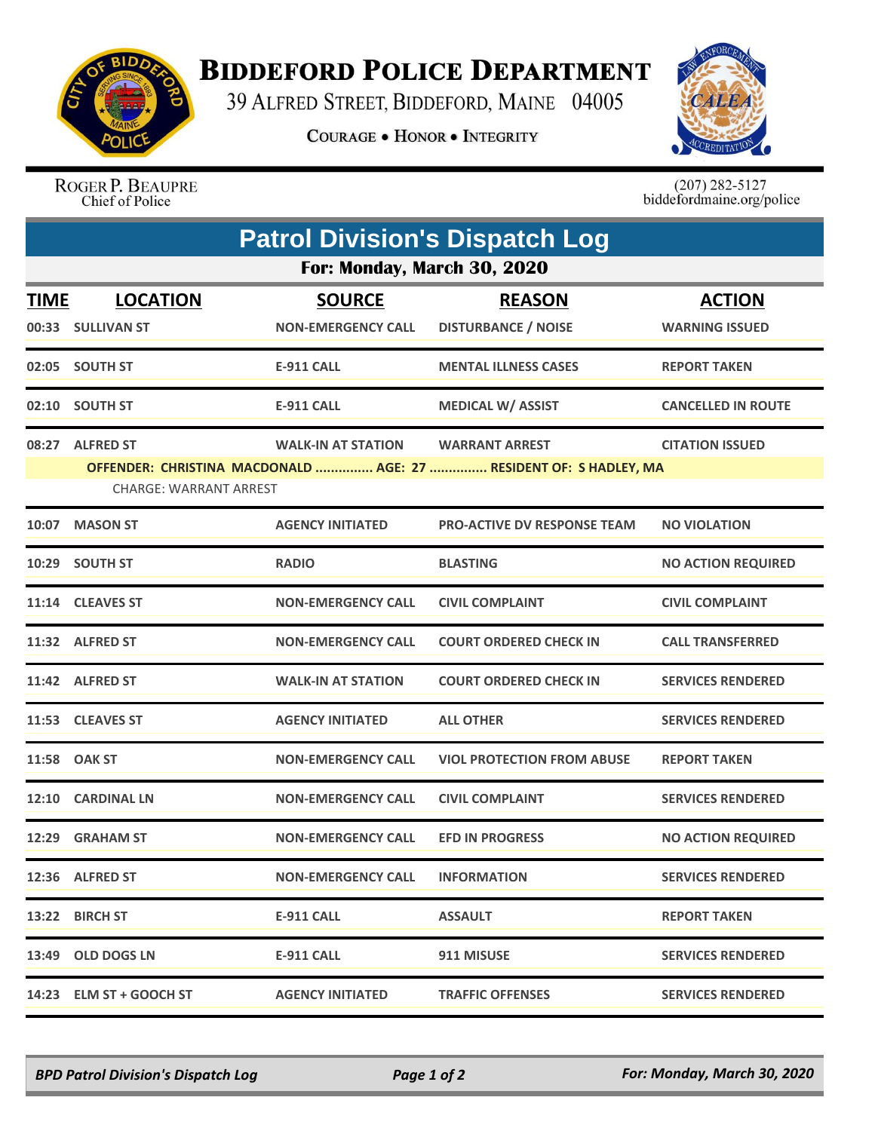

## **BIDDEFORD POLICE DEPARTMENT**

39 ALFRED STREET, BIDDEFORD, MAINE 04005

**COURAGE . HONOR . INTEGRITY** 



ROGER P. BEAUPRE<br>Chief of Police

 $(207)$  282-5127<br>biddefordmaine.org/police

|                             | <b>Patrol Division's Dispatch Log</b> |                           |                                                                   |                           |  |  |  |  |
|-----------------------------|---------------------------------------|---------------------------|-------------------------------------------------------------------|---------------------------|--|--|--|--|
| For: Monday, March 30, 2020 |                                       |                           |                                                                   |                           |  |  |  |  |
| <b>TIME</b>                 | <b>LOCATION</b>                       | <b>SOURCE</b>             | <b>REASON</b>                                                     | <b>ACTION</b>             |  |  |  |  |
|                             | 00:33 SULLIVAN ST                     | <b>NON-EMERGENCY CALL</b> | <b>DISTURBANCE / NOISE</b>                                        | <b>WARNING ISSUED</b>     |  |  |  |  |
|                             | 02:05 SOUTH ST                        | <b>E-911 CALL</b>         | <b>MENTAL ILLNESS CASES</b>                                       | <b>REPORT TAKEN</b>       |  |  |  |  |
|                             | 02:10 SOUTH ST                        | <b>E-911 CALL</b>         | <b>MEDICAL W/ ASSIST</b>                                          | <b>CANCELLED IN ROUTE</b> |  |  |  |  |
|                             | 08:27 ALFRED ST                       | <b>WALK-IN AT STATION</b> | <b>WARRANT ARREST</b>                                             | <b>CITATION ISSUED</b>    |  |  |  |  |
|                             | <b>CHARGE: WARRANT ARREST</b>         |                           | OFFENDER: CHRISTINA MACDONALD  AGE: 27  RESIDENT OF: S HADLEY, MA |                           |  |  |  |  |
|                             | 10:07 MASON ST                        | <b>AGENCY INITIATED</b>   | <b>PRO-ACTIVE DV RESPONSE TEAM</b>                                | <b>NO VIOLATION</b>       |  |  |  |  |
|                             | 10:29 SOUTH ST                        | <b>RADIO</b>              | <b>BLASTING</b>                                                   | <b>NO ACTION REQUIRED</b> |  |  |  |  |
|                             | 11:14 CLEAVES ST                      | <b>NON-EMERGENCY CALL</b> | <b>CIVIL COMPLAINT</b>                                            | <b>CIVIL COMPLAINT</b>    |  |  |  |  |
|                             | 11:32 ALFRED ST                       | <b>NON-EMERGENCY CALL</b> | <b>COURT ORDERED CHECK IN</b>                                     | <b>CALL TRANSFERRED</b>   |  |  |  |  |
|                             | 11:42 ALFRED ST                       | <b>WALK-IN AT STATION</b> | <b>COURT ORDERED CHECK IN</b>                                     | <b>SERVICES RENDERED</b>  |  |  |  |  |
|                             | 11:53 CLEAVES ST                      | <b>AGENCY INITIATED</b>   | <b>ALL OTHER</b>                                                  | <b>SERVICES RENDERED</b>  |  |  |  |  |
|                             | 11:58 OAK ST                          | <b>NON-EMERGENCY CALL</b> | <b>VIOL PROTECTION FROM ABUSE</b>                                 | <b>REPORT TAKEN</b>       |  |  |  |  |
|                             | 12:10 CARDINAL LN                     | <b>NON-EMERGENCY CALL</b> | <b>CIVIL COMPLAINT</b>                                            | <b>SERVICES RENDERED</b>  |  |  |  |  |
| 12:29                       | <b>GRAHAM ST</b>                      | <b>NON-EMERGENCY CALL</b> | <b>EFD IN PROGRESS</b>                                            | <b>NO ACTION REQUIRED</b> |  |  |  |  |
|                             | 12:36 ALFRED ST                       | <b>NON-EMERGENCY CALL</b> | <b>INFORMATION</b>                                                | <b>SERVICES RENDERED</b>  |  |  |  |  |
|                             | 13:22 BIRCH ST                        | <b>E-911 CALL</b>         | <b>ASSAULT</b>                                                    | <b>REPORT TAKEN</b>       |  |  |  |  |
|                             | 13:49 OLD DOGS LN                     | <b>E-911 CALL</b>         | 911 MISUSE                                                        | <b>SERVICES RENDERED</b>  |  |  |  |  |
|                             | 14:23 ELM ST + GOOCH ST               | <b>AGENCY INITIATED</b>   | <b>TRAFFIC OFFENSES</b>                                           | <b>SERVICES RENDERED</b>  |  |  |  |  |